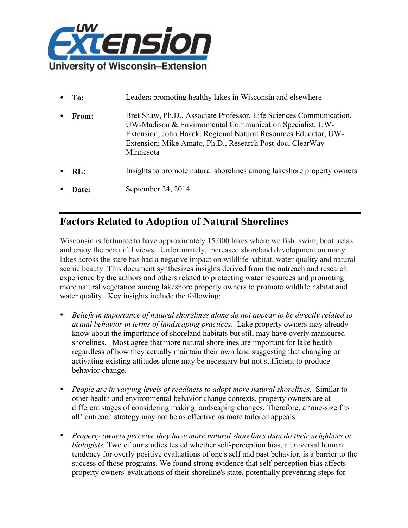

**To:** Leaders promoting healthy lakes in Wisconsin and elsewhere • **From:** Bret Shaw, Ph.D., Associate Professor, Life Sciences Communication, UW-Madison & Environmental Communication Specialist, UW-Extension; John Haack, Regional Natural Resources Educator, UW-Extension; Mike Amato, Ph.D., Research Post-doc, ClearWay **Minnesota RE:** Insights to promote natural shorelines among lakeshore property owners **Date:** September 24, 2014

## **Factors Related to Adoption of Natural Shorelines**

Wisconsin is fortunate to have approximately 15,000 lakes where we fish, swim, boat, relax and enjoy the beautiful views. Unfortunately, increased shoreland development on many lakes across the state has had a negative impact on wildlife habitat, water quality and natural scenic beauty. This document synthesizes insights derived from the outreach and research experience by the authors and others related to protecting water resources and promoting more natural vegetation among lakeshore property owners to promote wildlife habitat and water quality. Key insights include the following:

- *Beliefs in importance of natural shorelines alone do not appear to be directly related to actual behavior in terms of landscaping practices*. Lake property owners may already know about the importance of shoreland habitats but still may have overly manicured shorelines. Most agree that more natural shorelines are important for lake health regardless of how they actually maintain their own land suggesting that changing or activating existing attitudes alone may be necessary but not sufficient to produce behavior change.
- *People are in varying levels of readiness to adopt more natural shorelines.* Similar to other health and environmental behavior change contexts, property owners are at different stages of considering making landscaping changes. Therefore, a 'one-size fits all' outreach strategy may not be as effective as more tailored appeals.
- *Property owners perceive they have more natural shorelines than do their neighbors or biologists.* Two of our studies tested whether self-perception bias, a universal human tendency for overly positive evaluations of one's self and past behavior, is a barrier to the success of those programs. We found strong evidence that self-perception bias affects property owners' evaluations of their shoreline's state, potentially preventing steps for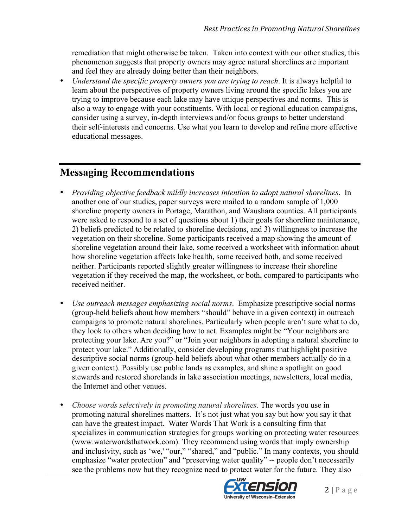remediation that might otherwise be taken. Taken into context with our other studies, this phenomenon suggests that property owners may agree natural shorelines are important and feel they are already doing better than their neighbors.

• *Understand the specific property owners you are trying to reach*. It is always helpful to learn about the perspectives of property owners living around the specific lakes you are trying to improve because each lake may have unique perspectives and norms. This is also a way to engage with your constituents. With local or regional education campaigns, consider using a survey, in-depth interviews and/or focus groups to better understand their self-interests and concerns. Use what you learn to develop and refine more effective educational messages.

### **Messaging Recommendations**

- *Providing objective feedback mildly increases intention to adopt natural shorelines*. In another one of our studies, paper surveys were mailed to a random sample of 1,000 shoreline property owners in Portage, Marathon, and Waushara counties. All participants were asked to respond to a set of questions about 1) their goals for shoreline maintenance, 2) beliefs predicted to be related to shoreline decisions, and 3) willingness to increase the vegetation on their shoreline. Some participants received a map showing the amount of shoreline vegetation around their lake, some received a worksheet with information about how shoreline vegetation affects lake health, some received both, and some received neither. Participants reported slightly greater willingness to increase their shoreline vegetation if they received the map, the worksheet, or both, compared to participants who received neither.
- *Use outreach messages emphasizing social norms*. Emphasize prescriptive social norms (group-held beliefs about how members "should" behave in a given context) in outreach campaigns to promote natural shorelines. Particularly when people aren't sure what to do, they look to others when deciding how to act. Examples might be "Your neighbors are protecting your lake. Are you?" or "Join your neighbors in adopting a natural shoreline to protect your lake." Additionally, consider developing programs that highlight positive descriptive social norms (group-held beliefs about what other members actually do in a given context). Possibly use public lands as examples, and shine a spotlight on good stewards and restored shorelands in lake association meetings, newsletters, local media, the Internet and other venues.
- *Choose words selectively in promoting natural shorelines*. The words you use in promoting natural shorelines matters. It's not just what you say but how you say it that can have the greatest impact. Water Words That Work is a consulting firm that specializes in communication strategies for groups working on protecting water resources (www.waterwordsthatwork.com). They recommend using words that imply ownership and inclusivity, such as 'we,' "our," "shared," and "public." In many contexts, you should emphasize "water protection" and "preserving water quality" -- people don't necessarily see the problems now but they recognize need to protect water for the future. They also

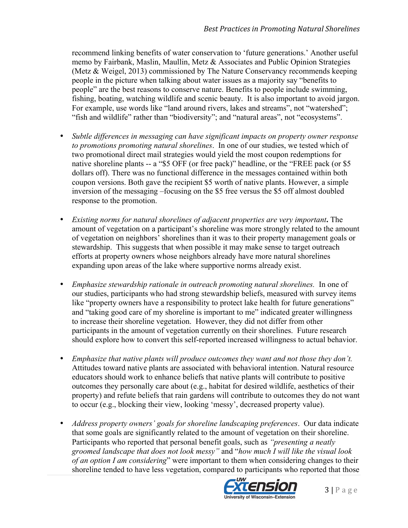recommend linking benefits of water conservation to 'future generations.' Another useful memo by Fairbank, Maslin, Maullin, Metz & Associates and Public Opinion Strategies (Metz & Weigel, 2013) commissioned by The Nature Conservancy recommends keeping people in the picture when talking about water issues as a majority say "benefits to people" are the best reasons to conserve nature. Benefits to people include swimming, fishing, boating, watching wildlife and scenic beauty. It is also important to avoid jargon. For example, use words like "land around rivers, lakes and streams", not "watershed"; "fish and wildlife" rather than "biodiversity"; and "natural areas", not "ecosystems".

- *Subtle differences in messaging can have significant impacts on property owner response to promotions promoting natural shorelines*. In one of our studies, we tested which of two promotional direct mail strategies would yield the most coupon redemptions for native shoreline plants -- a "\$5 OFF (or free pack)" headline, or the "FREE pack (or \$5 dollars off). There was no functional difference in the messages contained within both coupon versions. Both gave the recipient \$5 worth of native plants. However, a simple inversion of the messaging –focusing on the \$5 free versus the \$5 off almost doubled response to the promotion.
- *Existing norms for natural shorelines of adjacent properties are very important***.** The amount of vegetation on a participant's shoreline was more strongly related to the amount of vegetation on neighbors' shorelines than it was to their property management goals or stewardship. This suggests that when possible it may make sense to target outreach efforts at property owners whose neighbors already have more natural shorelines expanding upon areas of the lake where supportive norms already exist.
- *Emphasize stewardship rationale in outreach promoting natural shorelines.*In one of our studies, participants who had strong stewardship beliefs, measured with survey items like "property owners have a responsibility to protect lake health for future generations" and "taking good care of my shoreline is important to me" indicated greater willingness to increase their shoreline vegetation. However, they did not differ from other participants in the amount of vegetation currently on their shorelines.Future research should explore how to convert this self-reported increased willingness to actual behavior.
- *Emphasize that native plants will produce outcomes they want and not those they don't.* Attitudes toward native plants are associated with behavioral intention. Natural resource educators should work to enhance beliefs that native plants will contribute to positive outcomes they personally care about (e.g., habitat for desired wildlife, aesthetics of their property) and refute beliefs that rain gardens will contribute to outcomes they do not want to occur (e.g., blocking their view, looking 'messy', decreased property value).
- *Address property owners' goals for shoreline landscaping preferences*. Our data indicate that some goals are significantly related to the amount of vegetation on their shoreline. Participants who reported that personal benefit goals, such as *"presenting a neatly groomed landscape that does not look messy"* and "*how much I will like the visual look of an option I am considering*" were important to them when considering changes to their shoreline tended to have less vegetation, compared to participants who reported that those

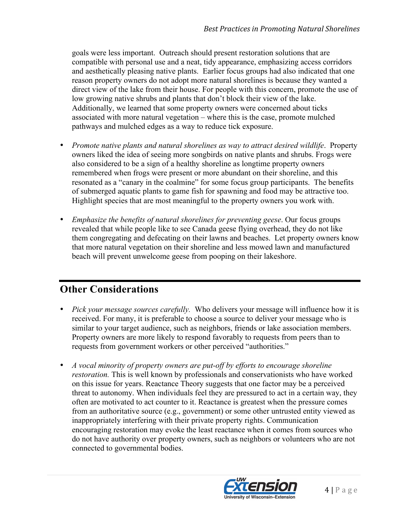goals were less important. Outreach should present restoration solutions that are compatible with personal use and a neat, tidy appearance, emphasizing access corridors and aesthetically pleasing native plants. Earlier focus groups had also indicated that one reason property owners do not adopt more natural shorelines is because they wanted a direct view of the lake from their house. For people with this concern, promote the use of low growing native shrubs and plants that don't block their view of the lake. Additionally, we learned that some property owners were concerned about ticks associated with more natural vegetation – where this is the case, promote mulched pathways and mulched edges as a way to reduce tick exposure.

- *Promote native plants and natural shorelines as way to attract desired wildlife*. Property owners liked the idea of seeing more songbirds on native plants and shrubs. Frogs were also considered to be a sign of a healthy shoreline as longtime property owners remembered when frogs were present or more abundant on their shoreline, and this resonated as a "canary in the coalmine" for some focus group participants. The benefits of submerged aquatic plants to game fish for spawning and food may be attractive too. Highlight species that are most meaningful to the property owners you work with.
- *Emphasize the benefits of natural shorelines for preventing geese*. Our focus groups revealed that while people like to see Canada geese flying overhead, they do not like them congregating and defecating on their lawns and beaches. Let property owners know that more natural vegetation on their shoreline and less mowed lawn and manufactured beach will prevent unwelcome geese from pooping on their lakeshore.

# **Other Considerations**

- *Pick your message sources carefully.* Who delivers your message will influence how it is received. For many, it is preferable to choose a source to deliver your message who is similar to your target audience, such as neighbors, friends or lake association members. Property owners are more likely to respond favorably to requests from peers than to requests from government workers or other perceived "authorities."
- *A vocal minority of property owners are put-off by efforts to encourage shoreline restoration.* This is well known by professionals and conservationists who have worked on this issue for years. Reactance Theory suggests that one factor may be a perceived threat to autonomy. When individuals feel they are pressured to act in a certain way, they often are motivated to act counter to it. Reactance is greatest when the pressure comes from an authoritative source (e.g., government) or some other untrusted entity viewed as inappropriately interfering with their private property rights. Communication encouraging restoration may evoke the least reactance when it comes from sources who do not have authority over property owners, such as neighbors or volunteers who are not connected to governmental bodies.

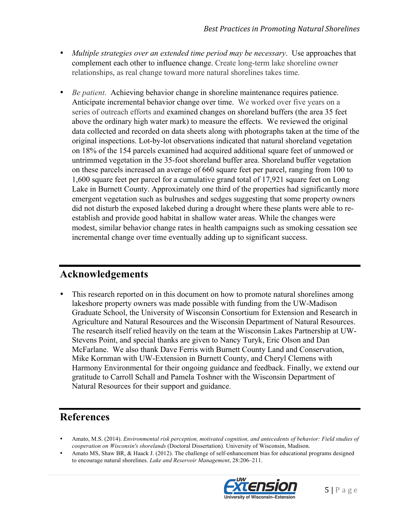- *Multiple strategies over an extended time period may be necessary*. Use approaches that complement each other to influence change. Create long-term lake shoreline owner relationships, as real change toward more natural shorelines takes time.
- *Be patient*. Achieving behavior change in shoreline maintenance requires patience. Anticipate incremental behavior change over time. We worked over five years on a series of outreach efforts and examined changes on shoreland buffers (the area 35 feet above the ordinary high water mark) to measure the effects. We reviewed the original data collected and recorded on data sheets along with photographs taken at the time of the original inspections. Lot-by-lot observations indicated that natural shoreland vegetation on 18% of the 154 parcels examined had acquired additional square feet of unmowed or untrimmed vegetation in the 35-foot shoreland buffer area. Shoreland buffer vegetation on these parcels increased an average of 660 square feet per parcel, ranging from 100 to 1,600 square feet per parcel for a cumulative grand total of 17,921 square feet on Long Lake in Burnett County. Approximately one third of the properties had significantly more emergent vegetation such as bulrushes and sedges suggesting that some property owners did not disturb the exposed lakebed during a drought where these plants were able to reestablish and provide good habitat in shallow water areas. While the changes were modest, similar behavior change rates in health campaigns such as smoking cessation see incremental change over time eventually adding up to significant success.

## **Acknowledgements**

This research reported on in this document on how to promote natural shorelines among lakeshore property owners was made possible with funding from the UW-Madison Graduate School, the University of Wisconsin Consortium for Extension and Research in Agriculture and Natural Resources and the Wisconsin Department of Natural Resources. The research itself relied heavily on the team at the Wisconsin Lakes Partnership at UW-Stevens Point, and special thanks are given to Nancy Turyk, Eric Olson and Dan McFarlane. We also thank Dave Ferris with Burnett County Land and Conservation, Mike Kornman with UW-Extension in Burnett County, and Cheryl Clemens with Harmony Environmental for their ongoing guidance and feedback. Finally, we extend our gratitude to Carroll Schall and Pamela Toshner with the Wisconsin Department of Natural Resources for their support and guidance.

## **References**

- Amato, M.S. (2014). *Environmental risk perception, motivated cognition, and antecedents of behavior: Field studies of cooperation on Wisconsin's shorelands* (Doctoral Dissertation)*.* University of Wisconsin, Madison.
- Amato MS, Shaw BR, & Haack J. (2012). The challenge of self-enhancement bias for educational programs designed to encourage natural shorelines. *Lake and Reservoir Management*, 28:206–211.